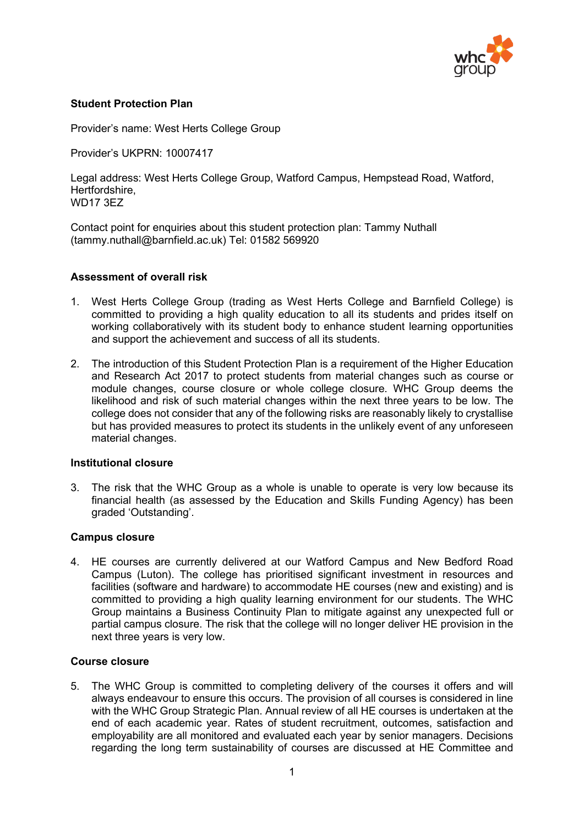

# **Student Protection Plan**

Provider's name: West Herts College Group

Provider's UKPRN: 10007417

Legal address: West Herts College Group, Watford Campus, Hempstead Road, Watford, Hertfordshire, WD17 3EZ

Contact point for enquiries about this student protection plan: Tammy Nuthall [\(tammy.nuthall@barnfield.ac.uk\)](mailto:tammy.nuthall@barnfield.ac.uk) Tel: 01582 569920

### **Assessment of overall risk**

- 1. West Herts College Group (trading as West Herts College and Barnfield College) is committed to providing a high quality education to all its students and prides itself on working collaboratively with its student body to enhance student learning opportunities and support the achievement and success of all its students.
- 2. The introduction of this Student Protection Plan is a requirement of the Higher Education and Research Act 2017 to protect students from material changes such as course or module changes, course closure or whole college closure. WHC Group deems the likelihood and risk of such material changes within the next three years to be low. The college does not consider that any of the following risks are reasonably likely to crystallise but has provided measures to protect its students in the unlikely event of any unforeseen material changes.

#### **Institutional closure**

3. The risk that the WHC Group as a whole is unable to operate is very low because its financial health (as assessed by the Education and Skills Funding Agency) has been graded 'Outstanding'.

#### **Campus closure**

4. HE courses are currently delivered at our Watford Campus and New Bedford Road Campus (Luton). The college has prioritised significant investment in resources and facilities (software and hardware) to accommodate HE courses (new and existing) and is committed to providing a high quality learning environment for our students. The WHC Group maintains a Business Continuity Plan to mitigate against any unexpected full or partial campus closure. The risk that the college will no longer deliver HE provision in the next three years is very low.

### **Course closure**

5. The WHC Group is committed to completing delivery of the courses it offers and will always endeavour to ensure this occurs. The provision of all courses is considered in line with the WHC Group Strategic Plan. Annual review of all HE courses is undertaken at the end of each academic year. Rates of student recruitment, outcomes, satisfaction and employability are all monitored and evaluated each year by senior managers. Decisions regarding the long term sustainability of courses are discussed at HE Committee and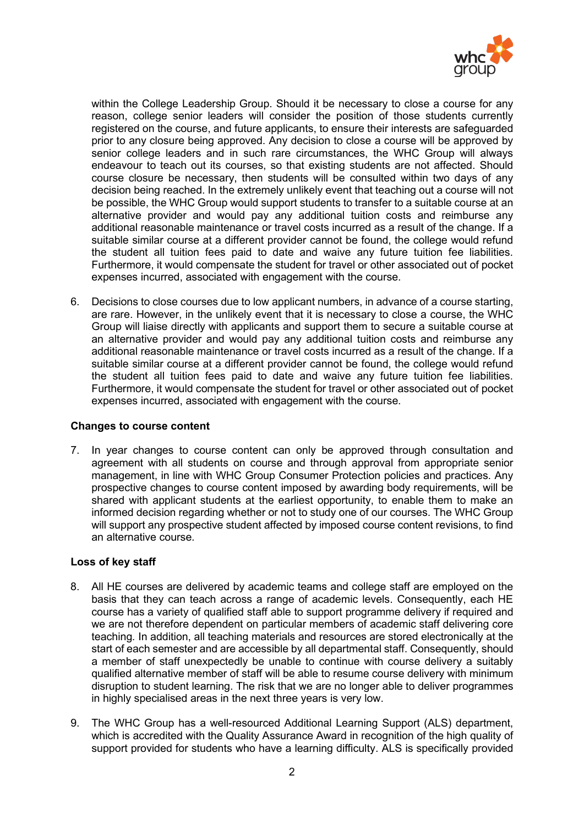

within the College Leadership Group. Should it be necessary to close a course for any reason, college senior leaders will consider the position of those students currently registered on the course, and future applicants, to ensure their interests are safeguarded prior to any closure being approved. Any decision to close a course will be approved by senior college leaders and in such rare circumstances, the WHC Group will always endeavour to teach out its courses, so that existing students are not affected. Should course closure be necessary, then students will be consulted within two days of any decision being reached. In the extremely unlikely event that teaching out a course will not be possible, the WHC Group would support students to transfer to a suitable course at an alternative provider and would pay any additional tuition costs and reimburse any additional reasonable maintenance or travel costs incurred as a result of the change. If a suitable similar course at a different provider cannot be found, the college would refund the student all tuition fees paid to date and waive any future tuition fee liabilities. Furthermore, it would compensate the student for travel or other associated out of pocket expenses incurred, associated with engagement with the course.

6. Decisions to close courses due to low applicant numbers, in advance of a course starting, are rare. However, in the unlikely event that it is necessary to close a course, the WHC Group will liaise directly with applicants and support them to secure a suitable course at an alternative provider and would pay any additional tuition costs and reimburse any additional reasonable maintenance or travel costs incurred as a result of the change. If a suitable similar course at a different provider cannot be found, the college would refund the student all tuition fees paid to date and waive any future tuition fee liabilities. Furthermore, it would compensate the student for travel or other associated out of pocket expenses incurred, associated with engagement with the course.

## **Changes to course content**

7. In year changes to course content can only be approved through consultation and agreement with all students on course and through approval from appropriate senior management, in line with WHC Group Consumer Protection policies and practices. Any prospective changes to course content imposed by awarding body requirements, will be shared with applicant students at the earliest opportunity, to enable them to make an informed decision regarding whether or not to study one of our courses. The WHC Group will support any prospective student affected by imposed course content revisions, to find an alternative course.

## **Loss of key staff**

- 8. All HE courses are delivered by academic teams and college staff are employed on the basis that they can teach across a range of academic levels. Consequently, each HE course has a variety of qualified staff able to support programme delivery if required and we are not therefore dependent on particular members of academic staff delivering core teaching*.* In addition, all teaching materials and resources are stored electronically at the start of each semester and are accessible by all departmental staff. Consequently, should a member of staff unexpectedly be unable to continue with course delivery a suitably qualified alternative member of staff will be able to resume course delivery with minimum disruption to student learning. The risk that we are no longer able to deliver programmes in highly specialised areas in the next three years is very low.
- 9. The WHC Group has a well-resourced Additional Learning Support (ALS) department, which is accredited with the Quality Assurance Award in recognition of the high quality of support provided for students who have a learning difficulty. ALS is specifically provided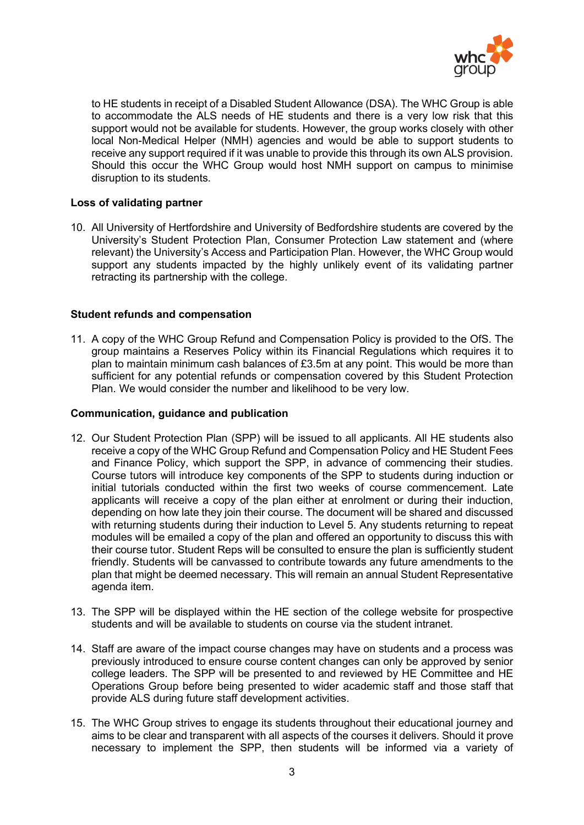

to HE students in receipt of a Disabled Student Allowance (DSA). The WHC Group is able to accommodate the ALS needs of HE students and there is a very low risk that this support would not be available for students. However, the group works closely with other local Non-Medical Helper (NMH) agencies and would be able to support students to receive any support required if it was unable to provide this through its own ALS provision. Should this occur the WHC Group would host NMH support on campus to minimise disruption to its students.

### **Loss of validating partner**

10. All University of Hertfordshire and University of Bedfordshire students are covered by the University's Student Protection Plan, Consumer Protection Law statement and (where relevant) the University's Access and Participation Plan. However, the WHC Group would support any students impacted by the highly unlikely event of its validating partner retracting its partnership with the college.

### **Student refunds and compensation**

11. A copy of the WHC Group Refund and Compensation Policy is provided to the OfS. The group maintains a Reserves Policy within its Financial Regulations which requires it to plan to maintain minimum cash balances of £3.5m at any point. This would be more than sufficient for any potential refunds or compensation covered by this Student Protection Plan. We would consider the number and likelihood to be very low.

### **Communication, guidance and publication**

- 12. Our Student Protection Plan (SPP) will be issued to all applicants. All HE students also receive a copy of the WHC Group Refund and Compensation Policy and HE Student Fees and Finance Policy, which support the SPP, in advance of commencing their studies. Course tutors will introduce key components of the SPP to students during induction or initial tutorials conducted within the first two weeks of course commencement. Late applicants will receive a copy of the plan either at enrolment or during their induction, depending on how late they join their course. The document will be shared and discussed with returning students during their induction to Level 5. Any students returning to repeat modules will be emailed a copy of the plan and offered an opportunity to discuss this with their course tutor. Student Reps will be consulted to ensure the plan is sufficiently student friendly. Students will be canvassed to contribute towards any future amendments to the plan that might be deemed necessary. This will remain an annual Student Representative agenda item.
- 13. The SPP will be displayed within the HE section of the college website for prospective students and will be available to students on course via the student intranet.
- 14. Staff are aware of the impact course changes may have on students and a process was previously introduced to ensure course content changes can only be approved by senior college leaders. The SPP will be presented to and reviewed by HE Committee and HE Operations Group before being presented to wider academic staff and those staff that provide ALS during future staff development activities.
- 15. The WHC Group strives to engage its students throughout their educational journey and aims to be clear and transparent with all aspects of the courses it delivers. Should it prove necessary to implement the SPP, then students will be informed via a variety of